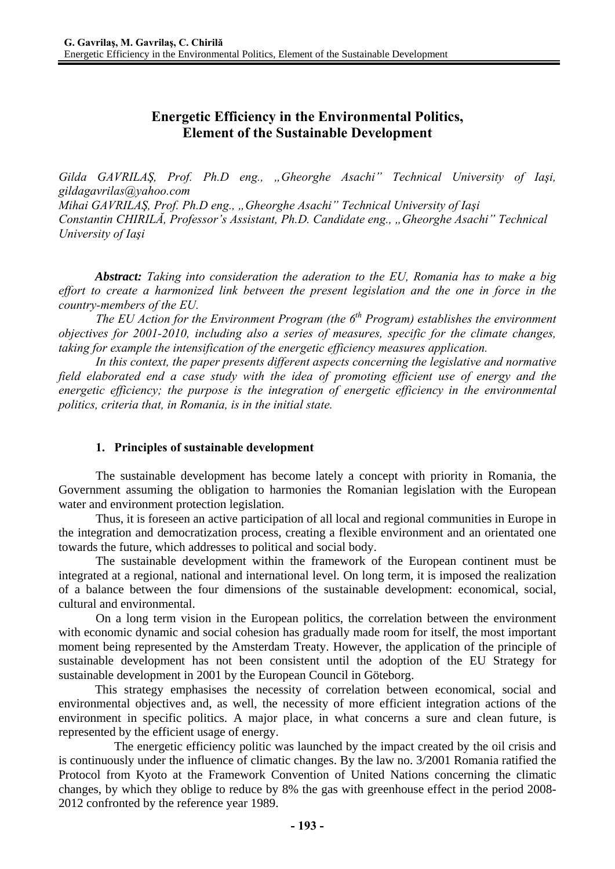# **Energetic Efficiency in the Environmental Politics, Element of the Sustainable Development**

*Gilda GAVRILAŞ, Prof. Ph.D eng., "Gheorghe Asachi" Technical University of Iaşi, gildagavrilas@yahoo.com Mihai GAVRILAŞ, Prof. Ph.D eng., "Gheorghe Asachi" Technical University of Iaşi Constantin CHIRILĂ, Professor's Assistant, Ph.D. Candidate eng., "Gheorghe Asachi" Technical University of Iaşi* 

*Abstract: Taking into consideration the aderation to the EU, Romania has to make a big effort to create a harmonized link between the present legislation and the one in force in the country-members of the EU.* 

*The EU Action for the Environment Program (the 6<sup>th</sup> Program) establishes the environment objectives for 2001-2010, including also a series of measures, specific for the climate changes, taking for example the intensification of the energetic efficiency measures application.* 

In this context, the paper presents different aspects concerning the legislative and normative *field elaborated end a case study with the idea of promoting efficient use of energy and the energetic efficiency; the purpose is the integration of energetic efficiency in the environmental politics, criteria that, in Romania, is in the initial state.* 

## **1. Principles of sustainable development**

The sustainable development has become lately a concept with priority in Romania, the Government assuming the obligation to harmonies the Romanian legislation with the European water and environment protection legislation.

Thus, it is foreseen an active participation of all local and regional communities in Europe in the integration and democratization process, creating a flexible environment and an orientated one towards the future, which addresses to political and social body.

The sustainable development within the framework of the European continent must be integrated at a regional, national and international level. On long term, it is imposed the realization of a balance between the four dimensions of the sustainable development: economical, social, cultural and environmental.

On a long term vision in the European politics, the correlation between the environment with economic dynamic and social cohesion has gradually made room for itself, the most important moment being represented by the Amsterdam Treaty. However, the application of the principle of sustainable development has not been consistent until the adoption of the EU Strategy for sustainable development in 2001 by the European Council in Göteborg.

 This strategy emphasises the necessity of correlation between economical, social and environmental objectives and, as well, the necessity of more efficient integration actions of the environment in specific politics. A major place, in what concerns a sure and clean future, is represented by the efficient usage of energy.

The energetic efficiency politic was launched by the impact created by the oil crisis and is continuously under the influence of climatic changes. By the law no. 3/2001 Romania ratified the Protocol from Kyoto at the Framework Convention of United Nations concerning the climatic changes, by which they oblige to reduce by 8% the gas with greenhouse effect in the period 2008- 2012 confronted by the reference year 1989.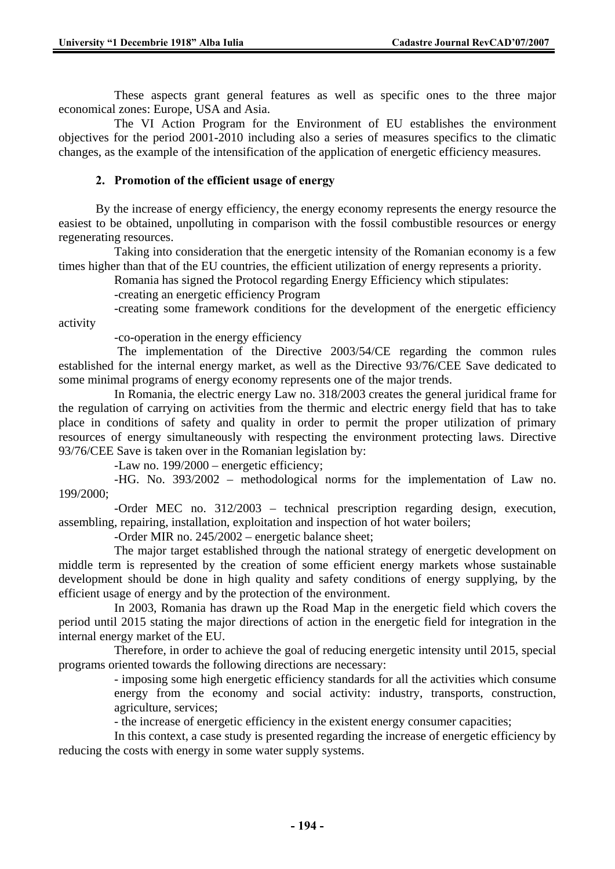These aspects grant general features as well as specific ones to the three major economical zones: Europe, USA and Asia.

The VI Action Program for the Environment of EU establishes the environment objectives for the period 2001-2010 including also a series of measures specifics to the climatic changes, as the example of the intensification of the application of energetic efficiency measures.

### **2. Promotion of the efficient usage of energy**

By the increase of energy efficiency, the energy economy represents the energy resource the easiest to be obtained, unpolluting in comparison with the fossil combustible resources or energy regenerating resources.

Taking into consideration that the energetic intensity of the Romanian economy is a few times higher than that of the EU countries, the efficient utilization of energy represents a priority.

Romania has signed the Protocol regarding Energy Efficiency which stipulates:

-creating an energetic efficiency Program

-creating some framework conditions for the development of the energetic efficiency activity

-co-operation in the energy efficiency

 The implementation of the Directive 2003/54/CE regarding the common rules established for the internal energy market, as well as the Directive 93/76/CEE Save dedicated to some minimal programs of energy economy represents one of the major trends.

In Romania, the electric energy Law no. 318/2003 creates the general juridical frame for the regulation of carrying on activities from the thermic and electric energy field that has to take place in conditions of safety and quality in order to permit the proper utilization of primary resources of energy simultaneously with respecting the environment protecting laws. Directive 93/76/CEE Save is taken over in the Romanian legislation by:

-Law no. 199/2000 – energetic efficiency;

-HG. No. 393/2002 – methodological norms for the implementation of Law no. 199/2000;

-Order MEC no. 312/2003 – technical prescription regarding design, execution, assembling, repairing, installation, exploitation and inspection of hot water boilers;

-Order MIR no. 245/2002 – energetic balance sheet;

The major target established through the national strategy of energetic development on middle term is represented by the creation of some efficient energy markets whose sustainable development should be done in high quality and safety conditions of energy supplying, by the efficient usage of energy and by the protection of the environment.

In 2003, Romania has drawn up the Road Map in the energetic field which covers the period until 2015 stating the major directions of action in the energetic field for integration in the internal energy market of the EU.

Therefore, in order to achieve the goal of reducing energetic intensity until 2015, special programs oriented towards the following directions are necessary:

> - imposing some high energetic efficiency standards for all the activities which consume energy from the economy and social activity: industry, transports, construction, agriculture, services;

- the increase of energetic efficiency in the existent energy consumer capacities;

In this context, a case study is presented regarding the increase of energetic efficiency by reducing the costs with energy in some water supply systems.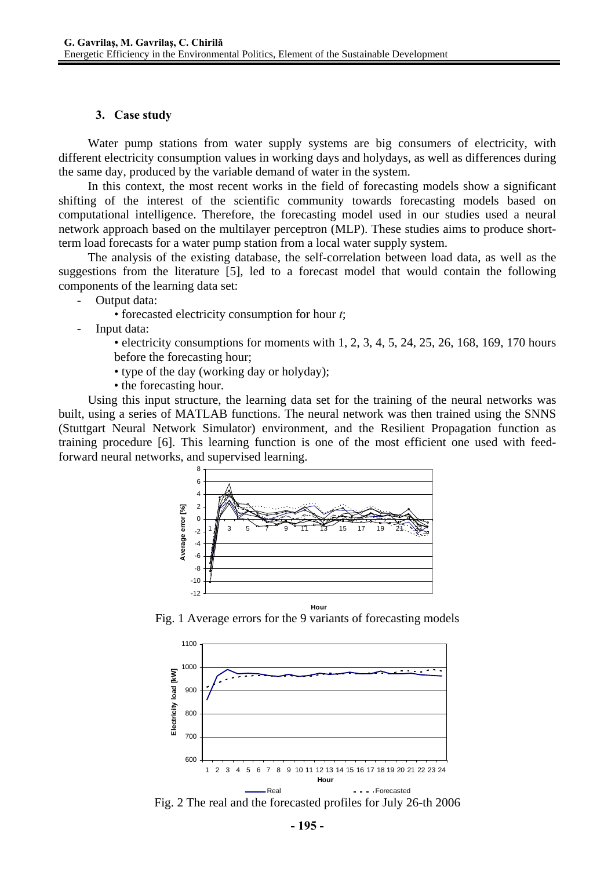#### **3. Case study**

Water pump stations from water supply systems are big consumers of electricity, with different electricity consumption values in working days and holydays, as well as differences during the same day, produced by the variable demand of water in the system.

In this context, the most recent works in the field of forecasting models show a significant shifting of the interest of the scientific community towards forecasting models based on computational intelligence. Therefore, the forecasting model used in our studies used a neural network approach based on the multilayer perceptron (MLP). These studies aims to produce shortterm load forecasts for a water pump station from a local water supply system.

The analysis of the existing database, the self-correlation between load data, as well as the suggestions from the literature [5], led to a forecast model that would contain the following components of the learning data set:

Output data:

- forecasted electricity consumption for hour *t*;
- Input data:
	- electricity consumptions for moments with  $1, 2, 3, 4, 5, 24, 25, 26, 168, 169, 170$  hours before the forecasting hour;
	- type of the day (working day or holyday);
	- the forecasting hour.

Using this input structure, the learning data set for the training of the neural networks was built, using a series of MATLAB functions. The neural network was then trained using the SNNS (Stuttgart Neural Network Simulator) environment, and the Resilient Propagation function as training procedure [6]. This learning function is one of the most efficient one used with feedforward neural networks, and supervised learning.



Fig. 1 Average errors for the 9 variants of forecasting models

**Hour**



Fig. 2 The real and the forecasted profiles for July 26-th 2006